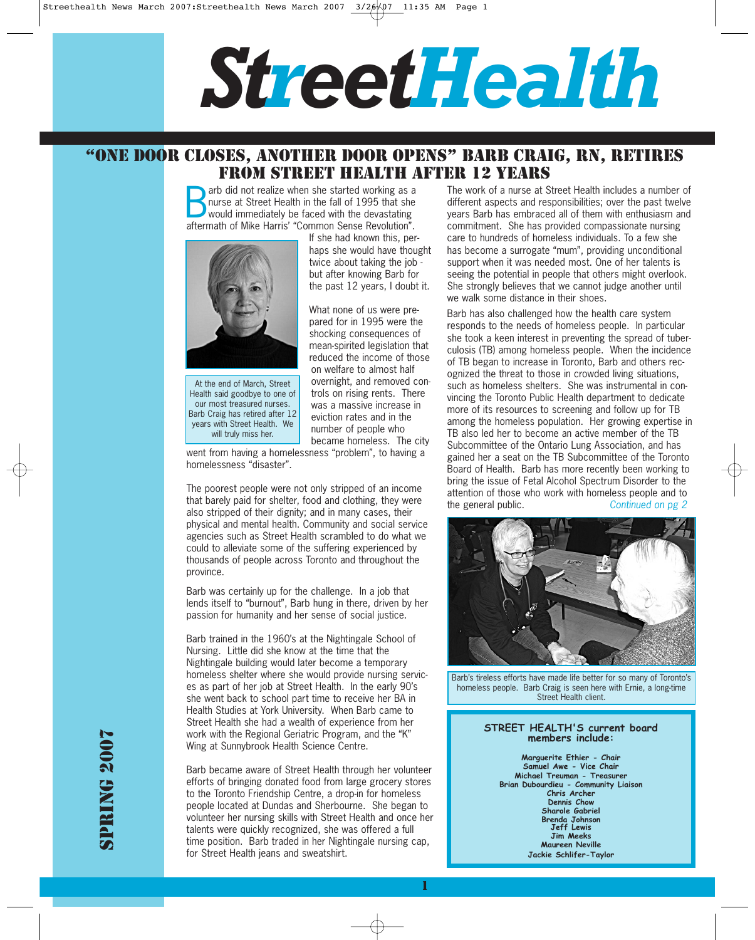# *StreetHealth*

## "ONE DOOR CLOSES, ANOTHER DOOR OPENS" BARB CRAIG, RN, RETIRES FROM STREET HEALTH AFTER 12 YEARS

arb did not realize when she started working as a<br>hurse at Street Health in the fall of 1995 that she<br>would immediately be faced with the devastating<br>offermath of Mike Herric' "Common Sonce Paughttien" nurse at Street Health in the fall of 1995 that she aftermath of Mike Harris' "Common Sense Revolution".



At the end of March, Street Health said goodbye to one of our most treasured nurses. Barb Craig has retired after 12 years with Street Health. We will truly miss her.

If she had known this, perhaps she would have thought twice about taking the job but after knowing Barb for the past 12 years, I doubt it. What none of us were pre-

pared for in 1995 were the shocking consequences of mean-spirited legislation that reduced the income of those on welfare to almost half overnight, and removed controls on rising rents. There was a massive increase in eviction rates and in the number of people who became homeless. The city

went from having a homelessness "problem", to having a homelessness "disaster".

The poorest people were not only stripped of an income that barely paid for shelter, food and clothing, they were also stripped of their dignity; and in many cases, their physical and mental health. Community and social service agencies such as Street Health scrambled to do what we could to alleviate some of the suffering experienced by thousands of people across Toronto and throughout the province.

Barb was certainly up for the challenge. In a job that lends itself to "burnout", Barb hung in there, driven by her passion for humanity and her sense of social justice.

Barb trained in the 1960's at the Nightingale School of Nursing. Little did she know at the time that the Nightingale building would later become a temporary homeless shelter where she would provide nursing services as part of her job at Street Health. In the early 90's she went back to school part time to receive her BA in Health Studies at York University. When Barb came to Street Health she had a wealth of experience from her work with the Regional Geriatric Program, and the "K" Wing at Sunnybrook Health Science Centre.

Barb became aware of Street Health through her volunteer efforts of bringing donated food from large grocery stores to the Toronto Friendship Centre, a drop-in for homeless people located at Dundas and Sherbourne. She began to volunteer her nursing skills with Street Health and once her talents were quickly recognized, she was offered a full time position. Barb traded in her Nightingale nursing cap, for Street Health jeans and sweatshirt.

1

The work of a nurse at Street Health includes a number of different aspects and responsibilities; over the past twelve years Barb has embraced all of them with enthusiasm and commitment. She has provided compassionate nursing care to hundreds of homeless individuals. To a few she has become a surrogate "mum", providing unconditional support when it was needed most. One of her talents is seeing the potential in people that others might overlook. She strongly believes that we cannot judge another until we walk some distance in their shoes.

Barb has also challenged how the health care system responds to the needs of homeless people. In particular she took a keen interest in preventing the spread of tuberculosis (TB) among homeless people. When the incidence of TB began to increase in Toronto, Barb and others recognized the threat to those in crowded living situations, such as homeless shelters. She was instrumental in convincing the Toronto Public Health department to dedicate more of its resources to screening and follow up for TB among the homeless population. Her growing expertise in TB also led her to become an active member of the TB Subcommittee of the Ontario Lung Association, and has gained her a seat on the TB Subcommittee of the Toronto Board of Health. Barb has more recently been working to bring the issue of Fetal Alcohol Spectrum Disorder to the attention of those who work with homeless people and to the general public. Continued on pg 2



Barb's tireless efforts have made life better for so many of Toronto's homeless people. Barb Craig is seen here with Ernie, a long-time Street Health client.

#### **STREET HEALTH'S current board members include:**

**Marguerite Ethier - Chair Samuel Awe - Vice Chair Michael Treuman - Treasurer Brian Dubourdieu - Community Liaison Chris Archer Dennis Chow Sharole Gabriel Brenda Johnson Jeff Lewis Jim Meeks Maureen Neville Jackie Schlifer-Taylor**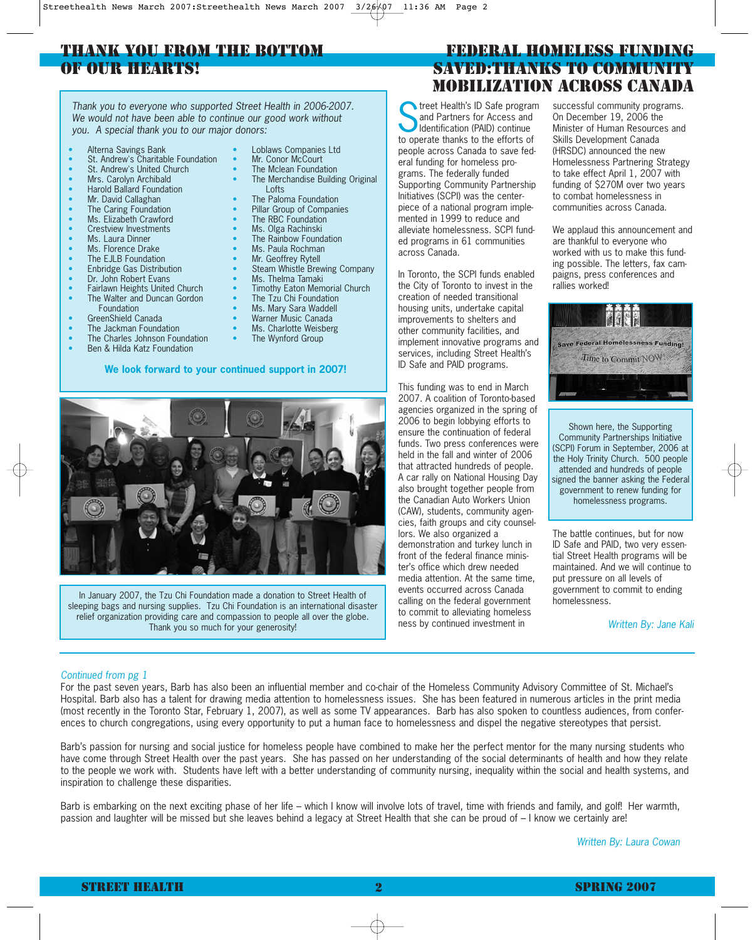### THANK YOU FROM THE BOTTOM OF OUR HEARTS!

Thank you to everyone who supported Street Health in 2006-2007.<br>We would not have been able to continue our good work without<br>you. A special thank you to our major donors:<br>to operate thanks to the offerts of We would not have been able to continue our good work without

- Alterna Savings Bank
- St. Andrew's Charitable Foundation
- St. Andrew's United Church
- Mrs. Carolyn Archibald
- Harold Ballard Foundation
- Mr. David Callaghan
- The Caring Foundation
- Ms. Elizabeth Crawford
- Crestview Investments
- Ms. Laura Dinner
- Ms. Florence Drake
- 
- The EJLB Foundation • Enbridge Gas Distribution
- Dr. John Robert Evans
- 
- Fairlawn Heights United Church The Walter and Duncan Gordon
- Foundation
- GreenShield Canada
- The Jackman Foundation
- The Charles Johnson Foundation
- Ben & Hilda Katz Foundation

#### **We look forward to your continued support in 2007!**

The Mclean Foundation The Merchandise Building Original

• Loblaws Companies Ltd Mr. Conor McCourt

- Lofts
- The Paloma Foundation
- Pillar Group of Companies
- The RBC Foundation
- Ms. Olga Rachinski
- The Rainbow Foundation
- Ms. Paula Rochman
- Mr. Geoffrey Rytell
- Steam Whistle Brewing Company
- Ms. Thelma Tamaki **Timothy Eaton Memorial Church**
- The Tzu Chi Foundation
- 
- Ms. Mary Sara Waddell
- Warner Music Canada
- Ms. Charlotte Weisberg The Wynford Group
- 

#### FEDERAL HOMELESS FUNDING SAVED:THANKS TO COMMUNITY MOBILIZATION ACROSS CANADA

and Partners for Access and Identification (PAID) continue to operate thanks to the efforts of people across Canada to save federal funding for homeless programs. The federally funded Supporting Community Partnership Initiatives (SCPI) was the centerpiece of a national program implemented in 1999 to reduce and alleviate homelessness. SCPI funded programs in 61 communities across Canada.

In Toronto, the SCPI funds enabled the City of Toronto to invest in the creation of needed transitional housing units, undertake capital improvements to shelters and other community facilities, and implement innovative programs and services, including Street Health's ID Safe and PAID programs.

This funding was to end in March 2007. A coalition of Toronto-based agencies organized in the spring of 2006 to begin lobbying efforts to ensure the continuation of federal funds. Two press conferences were held in the fall and winter of 2006 that attracted hundreds of people. A car rally on National Housing Day also brought together people from the Canadian Auto Workers Union (CAW), students, community agencies, faith groups and city counsellors. We also organized a demonstration and turkey lunch in front of the federal finance minister's office which drew needed media attention. At the same time, events occurred across Canada calling on the federal government

to commit to alleviating homeless ness by continued investment in

successful community programs. On December 19, 2006 the Minister of Human Resources and Skills Development Canada (HRSDC) announced the new Homelessness Partnering Strategy to take effect April 1, 2007 with funding of \$270M over two years to combat homelessness in communities across Canada.

We applaud this announcement and are thankful to everyone who worked with us to make this funding possible. The letters, fax campaigns, press conferences and rallies worked!



Shown here, the Supporting Community Partnerships Initiative (SCPI) Forum in September, 2006 at the Holy Trinity Church. 500 people attended and hundreds of people signed the banner asking the Federal government to renew funding for homelessness programs.

The battle continues, but for now ID Safe and PAID, two very essential Street Health programs will be maintained. And we will continue to put pressure on all levels of government to commit to ending homelessness.

Written By: Jane Kali

For the past seven years, Barb has also been an influential member and co-chair of the Homeless Community Advisory Committee of St. Michael's Hospital. Barb also has a talent for drawing media attention to homelessness issues. She has been featured in numerous articles in the print media (most recently in the Toronto Star, February 1, 2007), as well as some TV appearances. Barb has also spoken to countless audiences, from conferences to church congregations, using every opportunity to put a human face to homelessness and dispel the negative stereotypes that persist.

Barb's passion for nursing and social justice for homeless people have combined to make her the perfect mentor for the many nursing students who have come through Street Health over the past years. She has passed on her understanding of the social determinants of health and how they relate to the people we work with. Students have left with a better understanding of community nursing, inequality within the social and health systems, and inspiration to challenge these disparities.

Barb is embarking on the next exciting phase of her life – which I know will involve lots of travel, time with friends and family, and golf! Her warmth, passion and laughter will be missed but she leaves behind a legacy at Street Health that she can be proud of – I know we certainly are!

Written By: Laura Cowan

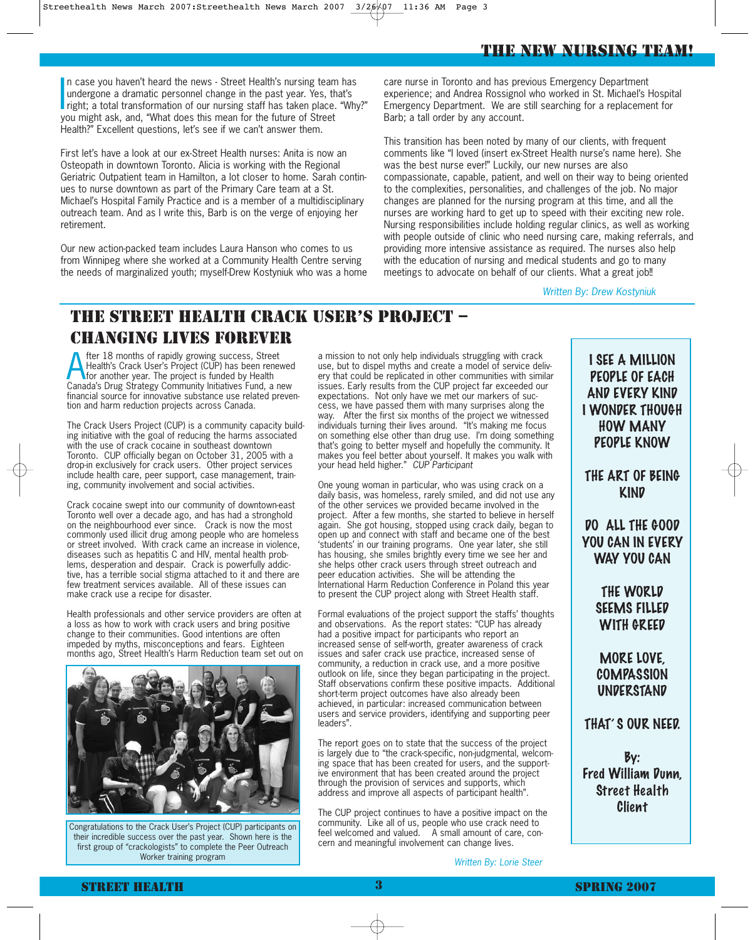#### THE NEW NURSING TEAM!

In case you haven't heard the news - Street Health's nursing team has<br>undergone a dramatic personnel change in the past year. Yes, that's<br>right; a total transformation of our nursing staff has taken place. "Why?"<br>wou might n case you haven't heard the news - Street Health's nursing team has undergone a dramatic personnel change in the past year. Yes, that's you might ask, and, "What does this mean for the future of Street Health?" Excellent questions, let's see if we can't answer them.

First let's have a look at our ex-Street Health nurses: Anita is now an Osteopath in downtown Toronto. Alicia is working with the Regional Geriatric Outpatient team in Hamilton, a lot closer to home. Sarah continues to nurse downtown as part of the Primary Care team at a St. Michael's Hospital Family Practice and is a member of a multidisciplinary outreach team. And as I write this, Barb is on the verge of enjoying her retirement.

Our new action-packed team includes Laura Hanson who comes to us from Winnipeg where she worked at a Community Health Centre serving the needs of marginalized youth; myself-Drew Kostyniuk who was a home care nurse in Toronto and has previous Emergency Department experience; and Andrea Rossignol who worked in St. Michael's Hospital Emergency Department. We are still searching for a replacement for Barb; a tall order by any account.

This transition has been noted by many of our clients, with frequent comments like "I loved (insert ex-Street Health nurse's name here). She was the best nurse ever!" Luckily, our new nurses are also compassionate, capable, patient, and well on their way to being oriented to the complexities, personalities, and challenges of the job. No major changes are planned for the nursing program at this time, and all the nurses are working hard to get up to speed with their exciting new role. Nursing responsibilities include holding regular clinics, as well as working with people outside of clinic who need nursing care, making referrals, and providing more intensive assistance as required. The nurses also help with the education of nursing and medical students and go to many meetings to advocate on behalf of our clients. What a great job!!

Written By: Drew Kostyniuk

## THE STREET HEALTH CRACK USER'S PROJECT – CHANGING LIVES FOREVER

The 18 months of rapidly growing success, Street<br>Health's Crack User's Project (CUP) has been renewed<br>for another year. The project is funded by Health<br>Canada's Drug Strategy Community Initiatives Fund, a new fter 18 months of rapidly growing success, Street Health's Crack User's Project (CUP) has been renewed for another year. The project is funded by Health financial source for innovative substance use related prevention and harm reduction projects across Canada.

The Crack Users Project (CUP) is a community capacity building initiative with the goal of reducing the harms associated with the use of crack cocaine in southeast downtown Toronto. CUP officially began on October 31, 2005 with a drop-in exclusively for crack users. Other project services include health care, peer support, case management, training, community involvement and social activities.

Crack cocaine swept into our community of downtown-east Toronto well over a decade ago, and has had a stronghold on the neighbourhood ever since. Crack is now the most commonly used illicit drug among people who are homeless or street involved. With crack came an increase in violence, diseases such as hepatitis C and HIV, mental health problems, desperation and despair. Crack is powerfully addictive, has a terrible social stigma attached to it and there are few treatment services available. All of these issues can make crack use a recipe for disaster.

Health professionals and other service providers are often at a loss as how to work with crack users and bring positive change to their communities. Good intentions are often impeded by myths, misconceptions and fears. Eighteen months ago, Street Health's Harm Reduction team set out on



Congratulations to the Crack User's Project (CUP) participants on their incredible success over the past year. Shown here is the first group of "crackologists" to complete the Peer Outreach Worker training program

a mission to not only help individuals struggling with crack use, but to dispel myths and create a model of service delivery that could be replicated in other communities with similar issues. Early results from the CUP project far exceeded our expectations. Not only have we met our markers of success, we have passed them with many surprises along the way. After the first six months of the project we witnessed individuals turning their lives around. "It's making me focus on something else other than drug use. I'm doing something that's going to better myself and hopefully the community. It makes you feel better about yourself. It makes you walk with your head held higher." CUP Participant

One young woman in particular, who was using crack on a daily basis, was homeless, rarely smiled, and did not use any of the other services we provided became involved in the project. After a few months, she started to believe in herself again. She got housing, stopped using crack daily, began to open up and connect with staff and became one of the best 'students' in our training programs. One year later, she still has housing, she smiles brightly every time we see her and she helps other crack users through street outreach and peer education activities. She will be attending the International Harm Reduction Conference in Poland this year to present the CUP project along with Street Health staff.

Formal evaluations of the project support the staffs' thoughts and observations. As the report states: "CUP has already had a positive impact for participants who report an increased sense of self-worth, greater awareness of crack issues and safer crack use practice, increased sense of community, a reduction in crack use, and a more positive outlook on life, since they began participating in the project. Staff observations confirm these positive impacts. Additional short-term project outcomes have also already been achieved, in particular: increased communication between users and service providers, identifying and supporting peer leaders".

The report goes on to state that the success of the project is largely due to "the crack-specific, non-judgmental, welcoming space that has been created for users, and the supportive environment that has been created around the project through the provision of services and supports, which address and improve all aspects of participant health".

The CUP project continues to have a positive impact on the community. Like all of us, people who use crack need to feel welcomed and valued. A small amount of care, concern and meaningful involvement can change lives.

Written By: Lorie Steer

I SEE A MILLION PEOPLE OF EACH AND EVERY KIND I WONDER THOUGH HOW MANY PEOPLE KNOW

THE ART OF BEING **KIND** 

DO ALL THE GOOD YOU CAN IN EVERY WAY YOU CAN

> THE WORLD SEEMS FILLED WITH GREED

#### MORE LOVE, **COMPASSION UNDERSTAND**

THAT' S OUR NEED.

By: Fred William Dunn, Street Health Client